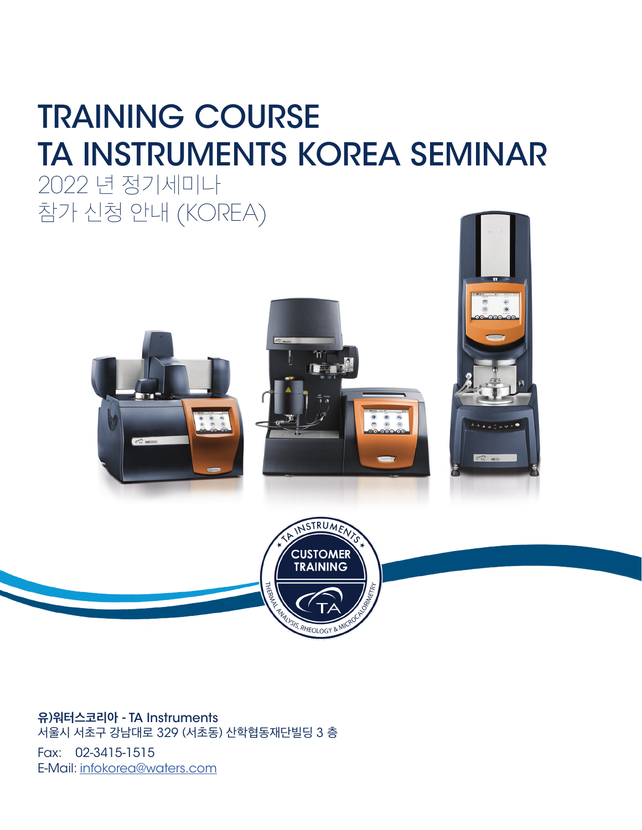# TRAINING COURSE TA INSTRUMENTS KOREA SEMINAR

2022 년 정기세미나 참가 신청 안내 (KOREA)







**유)워터스코리아 -** TA Instruments 서울시 서초구 강남대로 329 (서초동) 산학협동재단빌딩 3 층

Fax: 02-3415-1515 E-Mail: infokorea@waters.com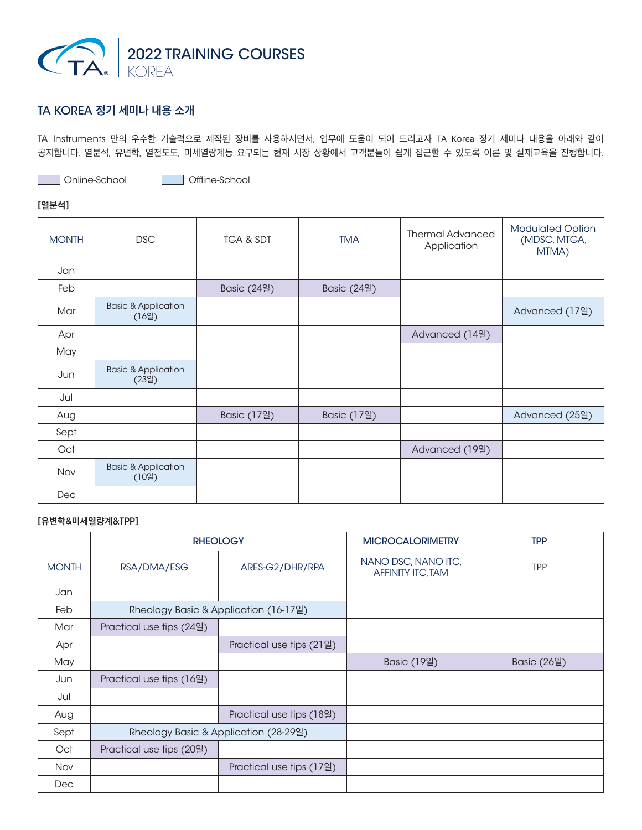

# TA KOREA **정기 세미나 내용 소개**

TA Instruments 만의 우수한 기술력으로 제작된 장비를 사용하시면서, 업무에 도움이 되어 드리고자 TA Korea 정기 세미나 내용을 아래와 같이 공지합니다. 열분석, 유변학, 열전도도, 미세열량계등 요구되는 현재 시장 상황에서 고객분들이 쉽게 접근할 수 있도록 이론 및 실제교육을 진행합니다.

Online-School **Offline-School** 

# **[열분석]**

| <b>MONTH</b> | <b>DSC</b>                              | TGA & SDT   | <b>TMA</b>  | <b>Thermal Advanced</b><br>Application | <b>Modulated Option</b><br>(MDSC, MTGA,<br>MTMA) |
|--------------|-----------------------------------------|-------------|-------------|----------------------------------------|--------------------------------------------------|
| Jan          |                                         |             |             |                                        |                                                  |
| Feb          |                                         | Basic (24일) | Basic (24일) |                                        |                                                  |
| Mar          | <b>Basic &amp; Application</b><br>(16일) |             |             |                                        | Advanced (17일)                                   |
| Apr          |                                         |             |             | Advanced (14일)                         |                                                  |
| May          |                                         |             |             |                                        |                                                  |
| Jun          | <b>Basic &amp; Application</b><br>(23일) |             |             |                                        |                                                  |
| Jul          |                                         |             |             |                                        |                                                  |
| Aug          |                                         | Basic (17일) | Basic (17일) |                                        | Advanced (25일)                                   |
| Sept         |                                         |             |             |                                        |                                                  |
| Oct          |                                         |             |             | Advanced (19일)                         |                                                  |
| Nov          | <b>Basic &amp; Application</b><br>(10일) |             |             |                                        |                                                  |
| Dec          |                                         |             |             |                                        |                                                  |

# **[유변학&미세열량계**&TPP**]**

|              | <b>RHEOLOGY</b>                       |                          | <b>MICROCALORIMETRY</b>                         | <b>TPP</b>  |
|--------------|---------------------------------------|--------------------------|-------------------------------------------------|-------------|
| <b>MONTH</b> | RSA/DMA/ESG                           | ARES-G2/DHR/RPA          | NANO DSC, NANO ITC,<br><b>AFFINITY ITC, TAM</b> | <b>TPP</b>  |
| Jan          |                                       |                          |                                                 |             |
| Feb          | Rheology Basic & Application (16-17일) |                          |                                                 |             |
| Mar          | Practical use tips (24일)              |                          |                                                 |             |
| Apr          |                                       | Practical use tips (21일) |                                                 |             |
| May          |                                       |                          | Basic (19일)                                     | Basic (26일) |
| Jun          | Practical use tips (16일)              |                          |                                                 |             |
| Jul          |                                       |                          |                                                 |             |
| Aug          |                                       | Practical use tips (18일) |                                                 |             |
| Sept         | Rheology Basic & Application (28-29일) |                          |                                                 |             |
| Oct          | Practical use tips (20일)              |                          |                                                 |             |
| <b>Nov</b>   |                                       | Practical use tips (17일) |                                                 |             |
| Dec          |                                       |                          |                                                 |             |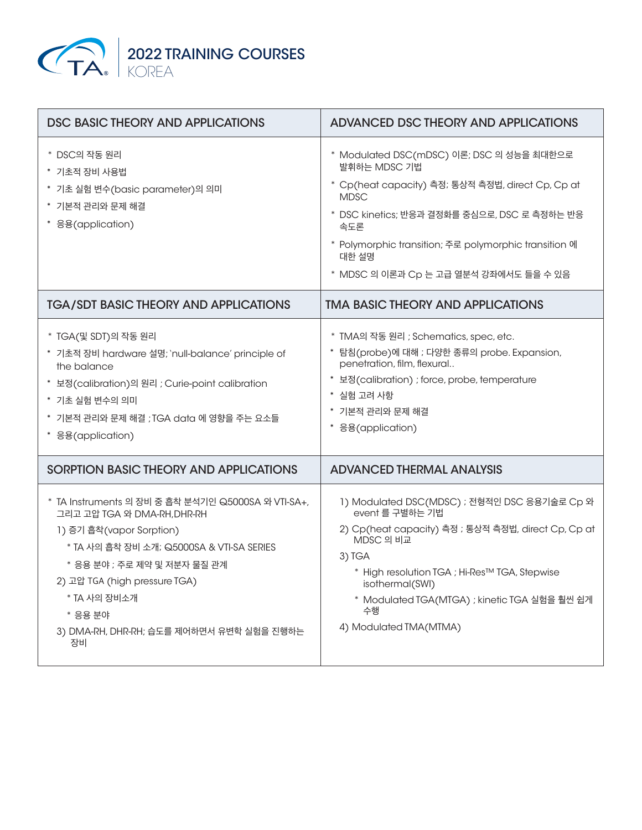

| DSC BASIC THEORY AND APPLICATIONS                                                                                                                                                                                                                                                                        | ADVANCED DSC THEORY AND APPLICATIONS                                                                                                                                                                                                                                                               |
|----------------------------------------------------------------------------------------------------------------------------------------------------------------------------------------------------------------------------------------------------------------------------------------------------------|----------------------------------------------------------------------------------------------------------------------------------------------------------------------------------------------------------------------------------------------------------------------------------------------------|
| * DSC의 작동 원리<br>* 기초적 장비 사용법<br>* 기초 실험 변수(basic parameter)의 의미<br>* 기본적 관리와 문제 해결<br>* 응용(application)                                                                                                                                                                                                  | * Modulated DSC(mDSC) 이론; DSC 의 성능을 최대한으로<br>발휘하는 MDSC 기법<br>* Cp(heat capacity) 측정; 통상적 측정법, direct Cp, Cp at<br><b>MDSC</b><br>* DSC kinetics; 반응과 결정화를 중심으로, DSC 로 측정하는 반응<br>속도론<br>* Polymorphic transition; 주로 polymorphic transition 에<br>대한 설명<br>* MDSC 의 이론과 Cp 는 고급 열분석 강좌에서도 들을 수 있음   |
| <b>TGA/SDT BASIC THEORY AND APPLICATIONS</b>                                                                                                                                                                                                                                                             | <b>TMA BASIC THEORY AND APPLICATIONS</b>                                                                                                                                                                                                                                                           |
| * TGA(및 SDT)의 작동 원리<br>* 기초적 장비 hardware 설명; `null-balance' principle of<br>the balance<br>* 보정(calibration)의 원리 ; Curie-point calibration<br>* 기초 실험 변수의 의미<br>* 기본적 관리와 문제 해결 ; TGA data 에 영향을 주는 요소들<br>* 응용(application)                                                                             | * TMA의 작동 원리 ; Schematics, spec, etc.<br>* 탐침(probe)에 대해 ; 다양한 종류의 probe. Expansion,<br>penetration, film, flexural<br>* 보정(calibration) ; force, probe, temperature<br>* 실험 고려 사항<br>* 기본적 관리와 문제 해결<br>* 응용(application)                                                                         |
| SORPTION BASIC THEORY AND APPLICATIONS                                                                                                                                                                                                                                                                   | <b>ADVANCED THERMAL ANALYSIS</b>                                                                                                                                                                                                                                                                   |
| * TA Instruments 의 장비 중 흡착 분석기인 Q5000SA 와 VTI-SA+,<br>그리고 고압 TGA 와 DMA-RH, DHR-RH<br>1) 증기 흡착(vapor Sorption)<br>* TA 사의 흡착 장비 소개; Q5000SA & VTI-SA SERIES<br>* 응용 분야 ; 주로 제약 및 저분자 물질 관계<br>2) 고압 TGA (high pressure TGA)<br>* TA 사의 장비소개<br>* 응용 분야<br>3) DMA-RH, DHR-RH; 습도를 제어하면서 유변학 실험을 진행하는<br>장비 | 1) Modulated DSC(MDSC) ; 전형적인 DSC 응용기술로 Cp 와<br>event 를 구별하는 기법<br>2) Cp(heat capacity) 측정 ; 통상적 측정법, direct Cp, Cp at<br>MDSC 의 비교<br>3) TGA<br>* High resolution TGA ; Hi-Res™ TGA, Stepwise<br>isothermal(SWI)<br>* Modulated TGA(MTGA) ; kinetic TGA 실험을 훨씬 쉽게<br>수행<br>4) Modulated TMA(MTMA) |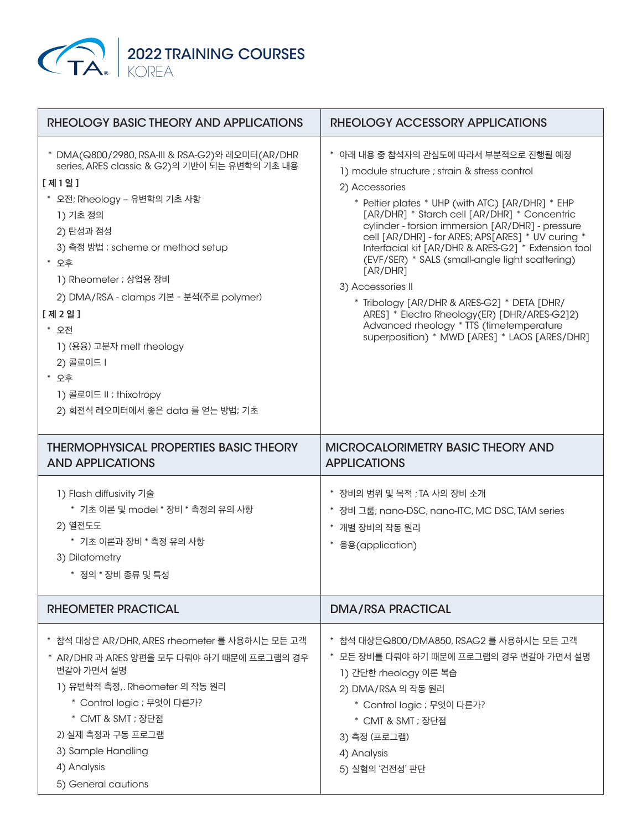

| RHEOLOGY BASIC THEORY AND APPLICATIONS                                                                                                                                                                                                                                                                                                                                                                                    | RHEOLOGY ACCESSORY APPLICATIONS                                                                                                                                                                                                                                                                                                                                                                                                                                                                                                                                                                                                                             |  |  |
|---------------------------------------------------------------------------------------------------------------------------------------------------------------------------------------------------------------------------------------------------------------------------------------------------------------------------------------------------------------------------------------------------------------------------|-------------------------------------------------------------------------------------------------------------------------------------------------------------------------------------------------------------------------------------------------------------------------------------------------------------------------------------------------------------------------------------------------------------------------------------------------------------------------------------------------------------------------------------------------------------------------------------------------------------------------------------------------------------|--|--|
| * DMA(Q800/2980, RSA-III & RSA-G2)와 레오미터(AR/DHR<br>series, ARES classic & G2)의 기반이 되는 유변학의 기초 내용<br>[제1일]<br>* 오전; Rheology - 유변학의 기초 사항<br>1) 기초 정의<br>2) 탄성과 점성<br>3) 측정 방법 ; scheme or method setup<br>* 오후<br>1) Rheometer ; 상업용 장비<br>2) DMA/RSA - clamps 기본 - 분석(주로 polymer)<br>[ 제 2 일 ]<br>* 오전<br>1) (용융) 고분자 melt rheology<br>2) 콜로이드 I<br>* 오후<br>1) 콜로이드 II ; thixotropy<br>2) 회전식 레오미터에서 좋은 data 를 얻는 방법; 기초 | * 아래 내용 중 참석자의 관심도에 따라서 부분적으로 진행될 예정<br>1) module structure ; strain & stress control<br>2) Accessories<br>* Peltier plates * UHP (with ATC) [AR/DHR] * EHP<br>[AR/DHR] * Starch cell [AR/DHR] * Concentric<br>cylinder - torsion immersion [AR/DHR] - pressure<br>cell [AR/DHR] - for ARES; APS[ARES] * UV curing *<br>Interfacial kit [AR/DHR & ARES-G2] * Extension tool<br>(EVF/SER) * SALS (small-angle light scattering)<br>[AR/DHR]<br>3) Accessories II<br>* Tribology [AR/DHR & ARES-G2] * DETA [DHR/<br>ARES] * Electro Rheology(ER) [DHR/ARES-G2]2)<br>Advanced rheology * TTS (timetemperature<br>superposition) * MWD [ARES] * LAOS [ARES/DHR] |  |  |
| <b>THERMOPHYSICAL PROPERTIES BASIC THEORY</b><br><b>AND APPLICATIONS</b>                                                                                                                                                                                                                                                                                                                                                  | <b>MICROCALORIMETRY BASIC THEORY AND</b><br><b>APPLICATIONS</b>                                                                                                                                                                                                                                                                                                                                                                                                                                                                                                                                                                                             |  |  |
| 1) Flash diffusivity 기술<br>* 기초 이론 및 model * 장비 * 측정의 유의 사항<br>2) 열전도도<br>* 기초 이론과 장비 * 측정 유의 사항<br>3) Dilatometry<br>* 정의 * 장비 종류 및 특성                                                                                                                                                                                                                                                                                   | * 장비의 범위 및 목적 ; TA 사의 장비 소개<br>* 장비 그룹; nano-DSC, nano-ITC, MC DSC, TAM series<br>* 개별 장비의 작동 원리<br>* 응용(application)                                                                                                                                                                                                                                                                                                                                                                                                                                                                                                                                       |  |  |
| RHEOMETER PRACTICAL                                                                                                                                                                                                                                                                                                                                                                                                       | <b>DMA/RSA PRACTICAL</b>                                                                                                                                                                                                                                                                                                                                                                                                                                                                                                                                                                                                                                    |  |  |
| * 참석 대상은 AR/DHR, ARES rheometer 를 사용하시는 모든 고객<br>* AR/DHR 과 ARES 양편을 모두 다뤄야 하기 때문에 프로그램의 경우<br>번갈아 가면서 설명<br>1) 유변학적 측정,. Rheometer 의 작동 원리<br>* Control logic ; 무엇이 다른가?<br>* CMT & SMT ; 장단점<br>2) 실제 측정과 구동 프로그램<br>3) Sample Handling<br>4) Analysis<br>5) General cautions                                                                                                                                           | * 참석 대상은Q800/DMA850, RSAG2 를 사용하시는 모든 고객<br>* 모든 장비를 다뤄야 하기 때문에 프로그램의 경우 번갈아 가면서 설명<br>1) 간단한 rheology 이론 복습<br>2) DMA/RSA 의 작동 원리<br>* Control logic ; 무엇이 다른가?<br>* CMT & SMT ; 장단점<br>3) 측정 (프로그램)<br>4) Analysis<br>5) 실험의 '건전성' 판단                                                                                                                                                                                                                                                                                                                                                                                                                     |  |  |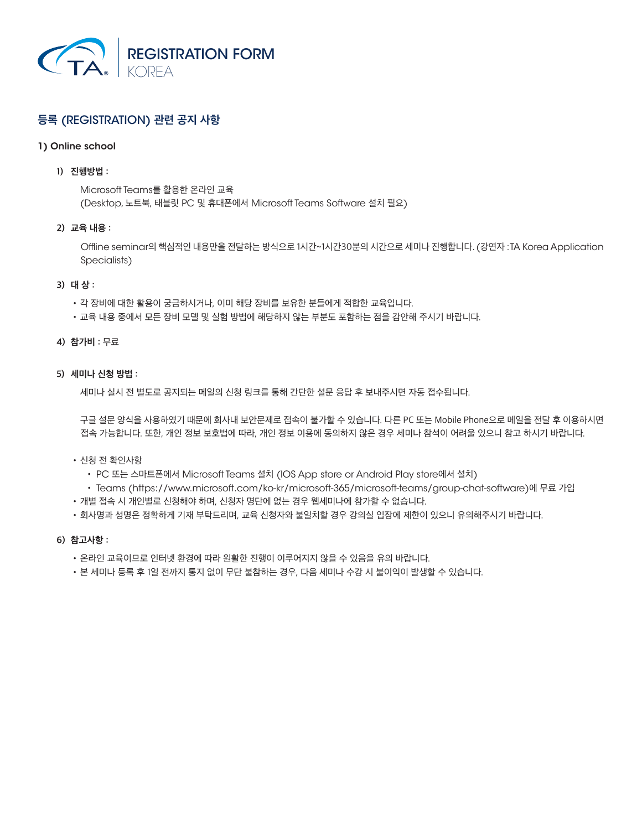

# **등록** (REGISTRATION) **관련 공지 사항**

## 1) Online school

# **1) 진행방법 :**

Microsoft Teams를 활용한 온라인 교육 (Desktop, 노트북, 태블릿 PC 및 휴대폰에서 Microsoft Teams Software 설치 필요)

# **2) 교육 내용 :**

Offline seminar의 핵심적인 내용만을 전달하는 방식으로 1시간~1시간30분의 시간으로 세미나 진행합니다. (강연자 : TA Korea Application Specialists)

#### **3) 대 상 :**

- •각 장비에 대한 활용이 궁금하시거나, 이미 해당 장비를 보유한 분들에게 적합한 교육입니다.
- •교육 내용 중에서 모든 장비 모델 및 실험 방법에 해당하지 않는 부분도 포함하는 점을 감안해 주시기 바랍니다.

#### **4) 참가비 :** 무료

# **5) 세미나 신청 방법 :**

세미나 실시 전 별도로 공지되는 메일의 신청 링크를 통해 간단한 설문 응답 후 보내주시면 자동 접수됩니다.

구글 설문 양식을 사용하였기 때문에 회사내 보안문제로 접속이 불가할 수 있습니다. 다른 PC 또는 Mobile Phone으로 메일을 전달 후 이용하시면 접속 가능합니다. 또한, 개인 정보 보호법에 따라, 개인 정보 이용에 동의하지 않은 경우 세미나 참석이 어려울 있으니 참고 하시기 바랍니다.

- •신청 전 확인사항
	- PC 또는 스마트폰에서 Microsoft Teams 설치 (IOS App store or Android Play store에서 설치)
	- Teams (https://www.microsoft.com/ko-kr/microsoft-365/microsoft-teams/group-chat-software)에 무료 가입
- •개별 접속 시 개인별로 신청해야 하며, 신청자 명단에 없는 경우 웹세미나에 참가할 수 없습니다.
- •회사명과 성명은 정확하게 기재 부탁드리며, 교육 신청자와 불일치할 경우 강의실 입장에 제한이 있으니 유의해주시기 바랍니다.

#### **6) 참고사항 :**

- •온라인 교육이므로 인터넷 환경에 따라 원활한 진행이 이루어지지 않을 수 있음을 유의 바랍니다.
- •본 세미나 등록 후 1일 전까지 통지 없이 무단 불참하는 경우, 다음 세미나 수강 시 불이익이 발생할 수 있습니다.